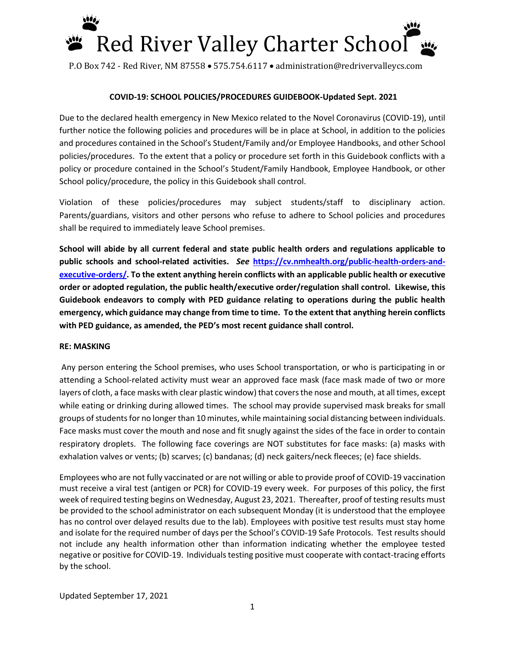

### **COVID-19: SCHOOL POLICIES/PROCEDURES GUIDEBOOK-Updated Sept. 2021**

Due to the declared health emergency in New Mexico related to the Novel Coronavirus (COVID-19), until further notice the following policies and procedures will be in place at School, in addition to the policies and procedures contained in the School's Student/Family and/or Employee Handbooks, and other School policies/procedures. To the extent that a policy or procedure set forth in this Guidebook conflicts with a policy or procedure contained in the School's Student/Family Handbook, Employee Handbook, or other School policy/procedure, the policy in this Guidebook shall control.

Violation of these policies/procedures may subject students/staff to disciplinary action. Parents/guardians, visitors and other persons who refuse to adhere to School policies and procedures shall be required to immediately leave School premises.

**School will abide by all current federal and state public health orders and regulations applicable to public schools and school-related activities.** *See* **[https://cv.nmhealth.org/public-health-orders-and](https://cv.nmhealth.org/public-health-orders-and-executive-orders/)[executive-orders/.](https://cv.nmhealth.org/public-health-orders-and-executive-orders/) To the extent anything herein conflicts with an applicable public health or executive order or adopted regulation, the public health/executive order/regulation shall control. Likewise, this Guidebook endeavors to comply with PED guidance relating to operations during the public health emergency, which guidance may change from time to time. To the extent that anything herein conflicts with PED guidance, as amended, the PED's most recent guidance shall control.**

#### **RE: MASKING**

Any person entering the School premises, who uses School transportation, or who is participating in or attending a School-related activity must wear an approved face mask (face mask made of two or more layers of cloth, a face masks with clear plastic window) that coversthe nose and mouth, at all times, except while eating or drinking during allowed times. The school may provide supervised mask breaks for small groups of students for no longer than 10 minutes, while maintaining social distancing between individuals. Face masks must cover the mouth and nose and fit snugly against the sides of the face in order to contain respiratory droplets. The following face coverings are NOT substitutes for face masks: (a) masks with exhalation valves or vents; (b) scarves; (c) bandanas; (d) neck gaiters/neck fleeces; (e) face shields.

Employees who are not fully vaccinated or are not willing or able to provide proof of COVID-19 vaccination must receive a viral test (antigen or PCR) for COVID-19 every week. For purposes of this policy, the first week of required testing begins on Wednesday, August 23, 2021. Thereafter, proof of testing results must be provided to the school administrator on each subsequent Monday (it is understood that the employee has no control over delayed results due to the lab). Employees with positive test results must stay home and isolate for the required number of days per the School's COVID-19 Safe Protocols. Test results should not include any health information other than information indicating whether the employee tested negative or positive for COVID-19. Individuals testing positive must cooperate with contact-tracing efforts by the school.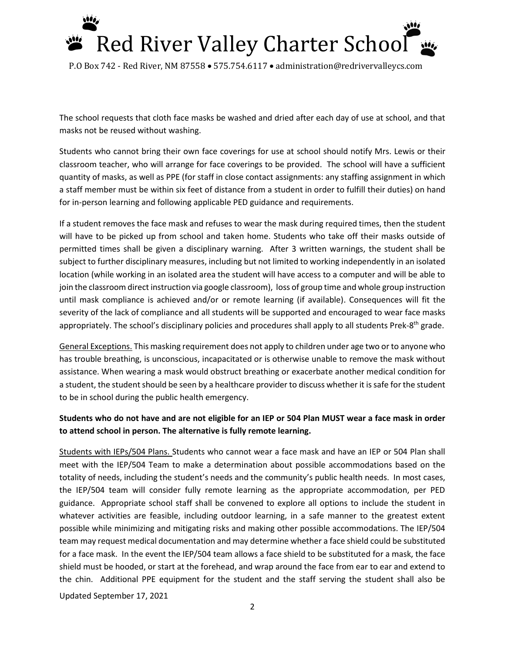

The school requests that cloth face masks be washed and dried after each day of use at school, and that masks not be reused without washing.

Students who cannot bring their own face coverings for use at school should notify Mrs. Lewis or their classroom teacher, who will arrange for face coverings to be provided. The school will have a sufficient quantity of masks, as well as PPE (for staff in close contact assignments: any staffing assignment in which a staff member must be within six feet of distance from a student in order to fulfill their duties) on hand for in-person learning and following applicable PED guidance and requirements.

If a student removes the face mask and refuses to wear the mask during required times, then the student will have to be picked up from school and taken home. Students who take off their masks outside of permitted times shall be given a disciplinary warning. After 3 written warnings, the student shall be subject to further disciplinary measures, including but not limited to working independently in an isolated location (while working in an isolated area the student will have access to a computer and will be able to join the classroom direct instruction via google classroom), loss of group time and whole group instruction until mask compliance is achieved and/or or remote learning (if available). Consequences will fit the severity of the lack of compliance and all students will be supported and encouraged to wear face masks appropriately. The school's disciplinary policies and procedures shall apply to all students Prek-8<sup>th</sup> grade.

General Exceptions. This masking requirement does not apply to children under age two or to anyone who has trouble breathing, is unconscious, incapacitated or is otherwise unable to remove the mask without assistance. When wearing a mask would obstruct breathing or exacerbate another medical condition for a student, the student should be seen by a healthcare provider to discuss whether it is safe for the student to be in school during the public health emergency.

## **Students who do not have and are not eligible for an IEP or 504 Plan MUST wear a face mask in order to attend school in person. The alternative is fully remote learning.**

Updated September 17, 2021 Students with IEPs/504 Plans. Students who cannot wear a face mask and have an IEP or 504 Plan shall meet with the IEP/504 Team to make a determination about possible accommodations based on the totality of needs, including the student's needs and the community's public health needs. In most cases, the IEP/504 team will consider fully remote learning as the appropriate accommodation, per PED guidance. Appropriate school staff shall be convened to explore all options to include the student in whatever activities are feasible, including outdoor learning, in a safe manner to the greatest extent possible while minimizing and mitigating risks and making other possible accommodations. The IEP/504 team may request medical documentation and may determine whether a face shield could be substituted for a face mask. In the event the IEP/504 team allows a face shield to be substituted for a mask, the face shield must be hooded, or start at the forehead, and wrap around the face from ear to ear and extend to the chin. Additional PPE equipment for the student and the staff serving the student shall also be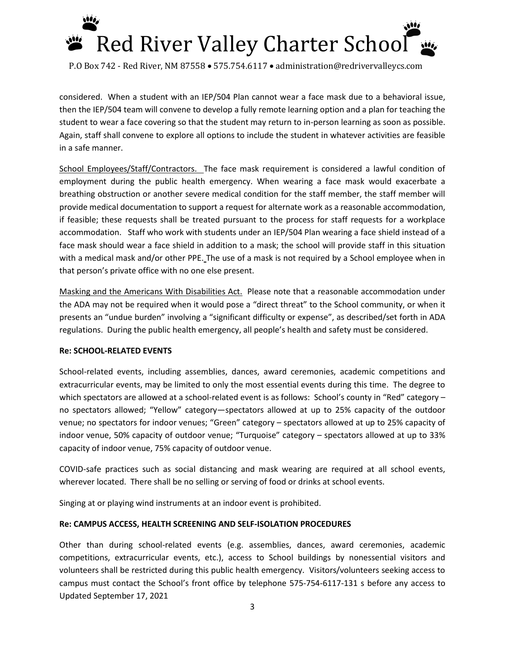

considered. When a student with an IEP/504 Plan cannot wear a face mask due to a behavioral issue, then the IEP/504 team will convene to develop a fully remote learning option and a plan for teaching the student to wear a face covering so that the student may return to in-person learning as soon as possible. Again, staff shall convene to explore all options to include the student in whatever activities are feasible in a safe manner.

School Employees/Staff/Contractors. The face mask requirement is considered a lawful condition of employment during the public health emergency. When wearing a face mask would exacerbate a breathing obstruction or another severe medical condition for the staff member, the staff member will provide medical documentation to support a request for alternate work as a reasonable accommodation, if feasible; these requests shall be treated pursuant to the process for staff requests for a workplace accommodation. Staff who work with students under an IEP/504 Plan wearing a face shield instead of a face mask should wear a face shield in addition to a mask; the school will provide staff in this situation with a medical mask and/or other PPE. The use of a mask is not required by a School employee when in that person's private office with no one else present.

Masking and the Americans With Disabilities Act. Please note that a reasonable accommodation under the ADA may not be required when it would pose a "direct threat" to the School community, or when it presents an "undue burden" involving a "significant difficulty or expense", as described/set forth in ADA regulations. During the public health emergency, all people's health and safety must be considered.

## **Re: SCHOOL-RELATED EVENTS**

School-related events, including assemblies, dances, award ceremonies, academic competitions and extracurricular events, may be limited to only the most essential events during this time. The degree to which spectators are allowed at a school-related event is as follows: School's county in "Red" category no spectators allowed; "Yellow" category—spectators allowed at up to 25% capacity of the outdoor venue; no spectators for indoor venues; "Green" category – spectators allowed at up to 25% capacity of indoor venue, 50% capacity of outdoor venue; "Turquoise" category – spectators allowed at up to 33% capacity of indoor venue, 75% capacity of outdoor venue.

COVID-safe practices such as social distancing and mask wearing are required at all school events, wherever located. There shall be no selling or serving of food or drinks at school events.

Singing at or playing wind instruments at an indoor event is prohibited.

## **Re: CAMPUS ACCESS, HEALTH SCREENING AND SELF-ISOLATION PROCEDURES**

Updated September 17, 2021 Other than during school-related events (e.g. assemblies, dances, award ceremonies, academic competitions, extracurricular events, etc.), access to School buildings by nonessential visitors and volunteers shall be restricted during this public health emergency. Visitors/volunteers seeking access to campus must contact the School's front office by telephone 575-754-6117-131 s before any access to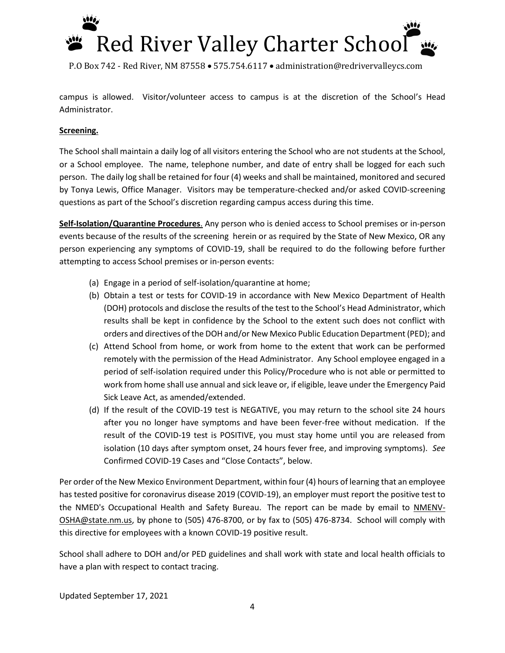# Red River Valley Charter School

P.O Box 742 - Red River, NM 87558 • 575.754.6117 • administration@redrivervalleycs.com

campus is allowed. Visitor/volunteer access to campus is at the discretion of the School's Head Administrator.

## **Screening.**

The School shall maintain a daily log of all visitors entering the School who are not students at the School, or a School employee. The name, telephone number, and date of entry shall be logged for each such person. The daily log shall be retained for four (4) weeks and shall be maintained, monitored and secured by Tonya Lewis, Office Manager. Visitors may be temperature-checked and/or asked COVID-screening questions as part of the School's discretion regarding campus access during this time.

**Self-Isolation/Quarantine Procedures**. Any person who is denied access to School premises or in-person events because of the results of the screening herein or as required by the State of New Mexico, OR any person experiencing any symptoms of COVID-19, shall be required to do the following before further attempting to access School premises or in-person events:

- (a) Engage in a period of self-isolation/quarantine at home;
- (b) Obtain a test or tests for COVID-19 in accordance with New Mexico Department of Health (DOH) protocols and disclose the results of the test to the School's Head Administrator, which results shall be kept in confidence by the School to the extent such does not conflict with orders and directives of the DOH and/or New Mexico Public Education Department (PED); and
- (c) Attend School from home, or work from home to the extent that work can be performed remotely with the permission of the Head Administrator. Any School employee engaged in a period of self-isolation required under this Policy/Procedure who is not able or permitted to work from home shall use annual and sick leave or, if eligible, leave under the Emergency Paid Sick Leave Act, as amended/extended.
- (d) If the result of the COVID-19 test is NEGATIVE, you may return to the school site 24 hours after you no longer have symptoms and have been fever-free without medication. If the result of the COVID-19 test is POSITIVE, you must stay home until you are released from isolation (10 days after symptom onset, 24 hours fever free, and improving symptoms). *See* Confirmed COVID-19 Cases and "Close Contacts", below.

Per order of the New Mexico Environment Department, within four (4) hours of learning that an employee has tested positive for coronavirus disease 2019 (COVID-19), an employer must report the positive test to the NMED's Occupational Health and Safety Bureau. The report can be made by email to [NMENV-](mailto:NMENV-OSHA@state.nm.us)[OSHA@state.nm.us,](mailto:NMENV-OSHA@state.nm.us) by phone to (505) 476-8700, or by fax to (505) 476-8734. School will comply with this directive for employees with a known COVID-19 positive result.

School shall adhere to DOH and/or PED guidelines and shall work with state and local health officials to have a plan with respect to contact tracing.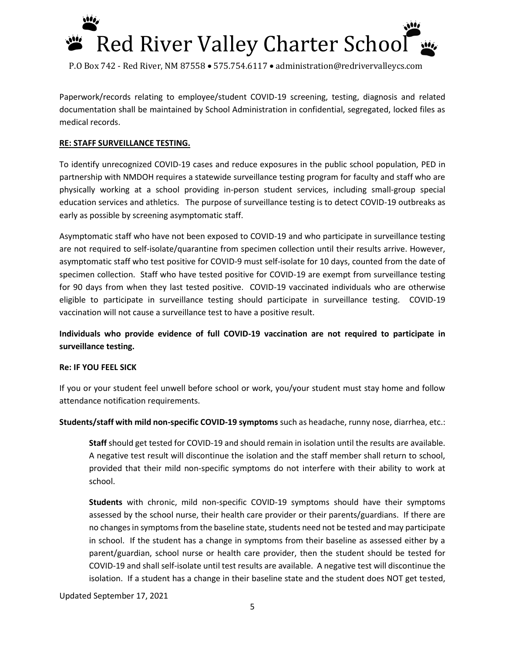

Paperwork/records relating to employee/student COVID-19 screening, testing, diagnosis and related documentation shall be maintained by School Administration in confidential, segregated, locked files as medical records.

## **RE: STAFF SURVEILLANCE TESTING.**

To identify unrecognized COVID-19 cases and reduce exposures in the public school population, PED in partnership with NMDOH requires a statewide surveillance testing program for faculty and staff who are physically working at a school providing in-person student services, including small-group special education services and athletics. The purpose of surveillance testing is to detect COVID-19 outbreaks as early as possible by screening asymptomatic staff.

Asymptomatic staff who have not been exposed to COVID-19 and who participate in surveillance testing are not required to self-isolate/quarantine from specimen collection until their results arrive. However, asymptomatic staff who test positive for COVID-9 must self-isolate for 10 days, counted from the date of specimen collection. Staff who have tested positive for COVID-19 are exempt from surveillance testing for 90 days from when they last tested positive. COVID-19 vaccinated individuals who are otherwise eligible to participate in surveillance testing should participate in surveillance testing. COVID-19 vaccination will not cause a surveillance test to have a positive result.

## **Individuals who provide evidence of full COVID-19 vaccination are not required to participate in surveillance testing.**

#### **Re: IF YOU FEEL SICK**

If you or your student feel unwell before school or work, you/your student must stay home and follow attendance notification requirements.

**Students/staff with mild non-specific COVID-19 symptoms** such as headache, runny nose, diarrhea, etc.:

**Staff** should get tested for COVID-19 and should remain in isolation until the results are available. A negative test result will discontinue the isolation and the staff member shall return to school, provided that their mild non-specific symptoms do not interfere with their ability to work at school.

**Students** with chronic, mild non-specific COVID-19 symptoms should have their symptoms assessed by the school nurse, their health care provider or their parents/guardians. If there are no changes in symptoms from the baseline state, students need not be tested and may participate in school. If the student has a change in symptoms from their baseline as assessed either by a parent/guardian, school nurse or health care provider, then the student should be tested for COVID-19 and shall self-isolate until test results are available. A negative test will discontinue the isolation. If a student has a change in their baseline state and the student does NOT get tested,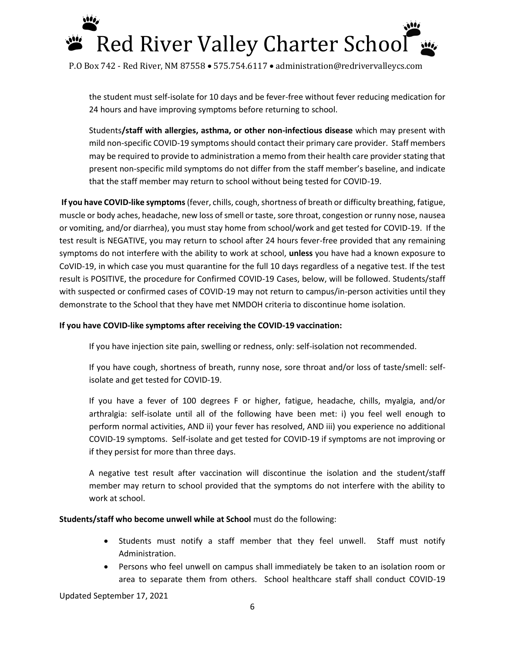

the student must self-isolate for 10 days and be fever-free without fever reducing medication for 24 hours and have improving symptoms before returning to school.

Students**/staff with allergies, asthma, or other non-infectious disease** which may present with mild non-specific COVID-19 symptoms should contact their primary care provider. Staff members may be required to provide to administration a memo from their health care provider stating that present non-specific mild symptoms do not differ from the staff member's baseline, and indicate that the staff member may return to school without being tested for COVID-19.

**If you have COVID-like symptoms**(fever, chills, cough, shortness of breath or difficulty breathing, fatigue, muscle or body aches, headache, new loss of smell or taste, sore throat, congestion or runny nose, nausea or vomiting, and/or diarrhea), you must stay home from school/work and get tested for COVID-19. If the test result is NEGATIVE, you may return to school after 24 hours fever-free provided that any remaining symptoms do not interfere with the ability to work at school, **unless** you have had a known exposure to CoVID-19, in which case you must quarantine for the full 10 days regardless of a negative test. If the test result is POSITIVE, the procedure for Confirmed COVID-19 Cases, below, will be followed. Students/staff with suspected or confirmed cases of COVID-19 may not return to campus/in-person activities until they demonstrate to the School that they have met NMDOH criteria to discontinue home isolation.

## **If you have COVID-like symptoms after receiving the COVID-19 vaccination:**

If you have injection site pain, swelling or redness, only: self-isolation not recommended.

If you have cough, shortness of breath, runny nose, sore throat and/or loss of taste/smell: selfisolate and get tested for COVID-19.

If you have a fever of 100 degrees F or higher, fatigue, headache, chills, myalgia, and/or arthralgia: self-isolate until all of the following have been met: i) you feel well enough to perform normal activities, AND ii) your fever has resolved, AND iii) you experience no additional COVID-19 symptoms. Self-isolate and get tested for COVID-19 if symptoms are not improving or if they persist for more than three days.

A negative test result after vaccination will discontinue the isolation and the student/staff member may return to school provided that the symptoms do not interfere with the ability to work at school.

**Students/staff who become unwell while at School** must do the following:

- Students must notify a staff member that they feel unwell. Staff must notify Administration.
- Persons who feel unwell on campus shall immediately be taken to an isolation room or area to separate them from others. School healthcare staff shall conduct COVID-19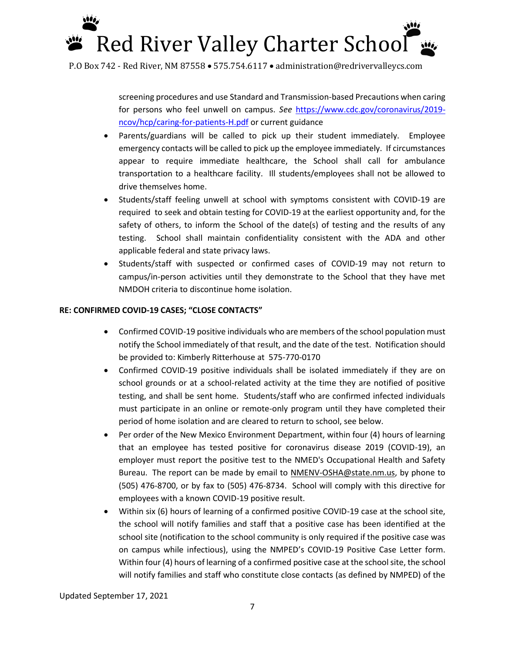# Red River Valley Charter School

P.O Box 742 - Red River, NM 87558 • 575.754.6117 • administration@redrivervalleycs.com

screening procedures and use Standard and Transmission-based Precautions when caring for persons who feel unwell on campus. *See* [https://www.cdc.gov/coronavirus/2019](https://www.cdc.gov/coronavirus/2019-ncov/hcp/caring-for-patients-H.pdf) [ncov/hcp/caring-for-patients-H.pdf](https://www.cdc.gov/coronavirus/2019-ncov/hcp/caring-for-patients-H.pdf) or current guidance

- Parents/guardians will be called to pick up their student immediately. Employee emergency contacts will be called to pick up the employee immediately. If circumstances appear to require immediate healthcare, the School shall call for ambulance transportation to a healthcare facility. Ill students/employees shall not be allowed to drive themselves home.
- Students/staff feeling unwell at school with symptoms consistent with COVID-19 are required to seek and obtain testing for COVID-19 at the earliest opportunity and, for the safety of others, to inform the School of the date(s) of testing and the results of any testing. School shall maintain confidentiality consistent with the ADA and other applicable federal and state privacy laws.
- Students/staff with suspected or confirmed cases of COVID-19 may not return to campus/in-person activities until they demonstrate to the School that they have met NMDOH criteria to discontinue home isolation.

## **RE: CONFIRMED COVID-19 CASES; "CLOSE CONTACTS"**

- Confirmed COVID-19 positive individuals who are members of the school population must notify the School immediately of that result, and the date of the test. Notification should be provided to: Kimberly Ritterhouse at 575-770-0170
- Confirmed COVID-19 positive individuals shall be isolated immediately if they are on school grounds or at a school-related activity at the time they are notified of positive testing, and shall be sent home. Students/staff who are confirmed infected individuals must participate in an online or remote-only program until they have completed their period of home isolation and are cleared to return to school, see below.
- Per order of the New Mexico Environment Department, within four (4) hours of learning that an employee has tested positive for coronavirus disease 2019 (COVID-19), an employer must report the positive test to the NMED's Occupational Health and Safety Bureau. The report can be made by email to [NMENV-OSHA@state.nm.us,](mailto:NMENV-OSHA@state.nm.us) by phone to (505) 476-8700, or by fax to (505) 476-8734. School will comply with this directive for employees with a known COVID-19 positive result.
- Within six (6) hours of learning of a confirmed positive COVID-19 case at the school site, the school will notify families and staff that a positive case has been identified at the school site (notification to the school community is only required if the positive case was on campus while infectious), using the NMPED's COVID-19 Positive Case Letter form. Within four (4) hours of learning of a confirmed positive case at the school site, the school will notify families and staff who constitute close contacts (as defined by NMPED) of the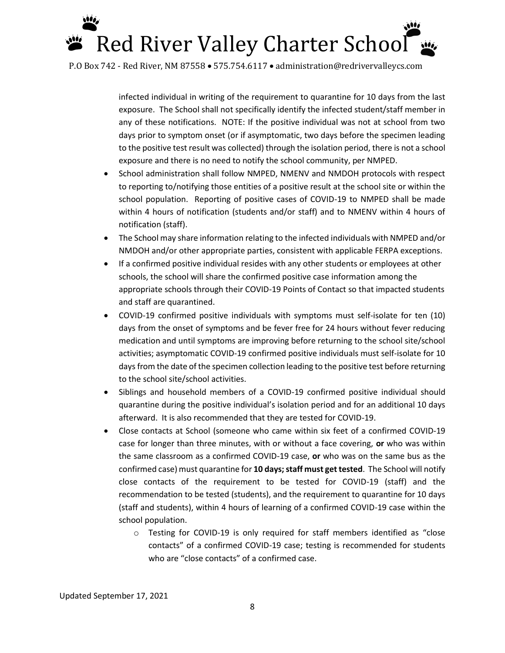

infected individual in writing of the requirement to quarantine for 10 days from the last exposure. The School shall not specifically identify the infected student/staff member in any of these notifications. NOTE: If the positive individual was not at school from two days prior to symptom onset (or if asymptomatic, two days before the specimen leading to the positive test result was collected) through the isolation period, there is not a school exposure and there is no need to notify the school community, per NMPED.

- School administration shall follow NMPED, NMENV and NMDOH protocols with respect to reporting to/notifying those entities of a positive result at the school site or within the school population. Reporting of positive cases of COVID-19 to NMPED shall be made within 4 hours of notification (students and/or staff) and to NMENV within 4 hours of notification (staff).
- The School may share information relating to the infected individuals with NMPED and/or NMDOH and/or other appropriate parties, consistent with applicable FERPA exceptions.
- If a confirmed positive individual resides with any other students or employees at other schools, the school will share the confirmed positive case information among the appropriate schools through their COVID-19 Points of Contact so that impacted students and staff are quarantined.
- COVID-19 confirmed positive individuals with symptoms must self-isolate for ten (10) days from the onset of symptoms and be fever free for 24 hours without fever reducing medication and until symptoms are improving before returning to the school site/school activities; asymptomatic COVID-19 confirmed positive individuals must self-isolate for 10 days from the date of the specimen collection leading to the positive test before returning to the school site/school activities.
- Siblings and household members of a COVID-19 confirmed positive individual should quarantine during the positive individual's isolation period and for an additional 10 days afterward. It is also recommended that they are tested for COVID-19.
- Close contacts at School (someone who came within six feet of a confirmed COVID-19 case for longer than three minutes, with or without a face covering, **or** who was within the same classroom as a confirmed COVID-19 case, **or** who was on the same bus as the confirmed case) must quarantine for **10 days; staff must get tested**. The School will notify close contacts of the requirement to be tested for COVID-19 (staff) and the recommendation to be tested (students), and the requirement to quarantine for 10 days (staff and students), within 4 hours of learning of a confirmed COVID-19 case within the school population.
	- o Testing for COVID-19 is only required for staff members identified as "close contacts" of a confirmed COVID-19 case; testing is recommended for students who are "close contacts" of a confirmed case.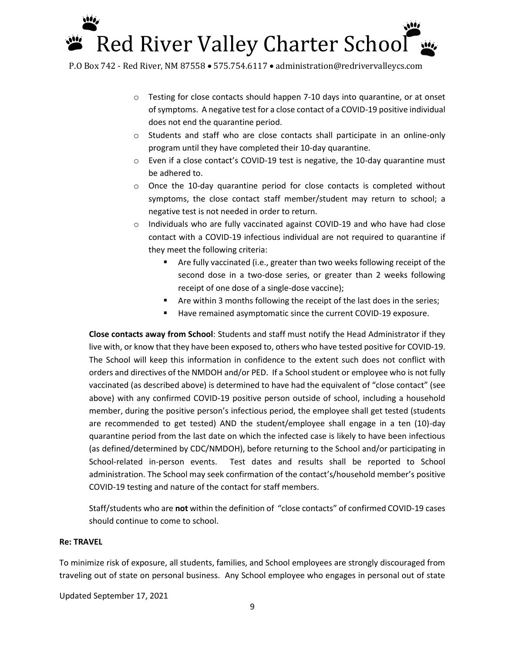## Red River Valley Charter School

P.O Box 742 - Red River, NM 87558 • 575.754.6117 • administration@redrivervalleycs.com

- $\circ$  Testing for close contacts should happen 7-10 days into quarantine, or at onset of symptoms. A negative test for a close contact of a COVID-19 positive individual does not end the quarantine period.
- o Students and staff who are close contacts shall participate in an online-only program until they have completed their 10-day quarantine.
- o Even if a close contact's COVID-19 test is negative, the 10-day quarantine must be adhered to.
- $\circ$  Once the 10-day quarantine period for close contacts is completed without symptoms, the close contact staff member/student may return to school; a negative test is not needed in order to return.
- o Individuals who are fully vaccinated against COVID-19 and who have had close contact with a COVID-19 infectious individual are not required to quarantine if they meet the following criteria:
	- Are fully vaccinated (i.e., greater than two weeks following receipt of the second dose in a two-dose series, or greater than 2 weeks following receipt of one dose of a single-dose vaccine);
	- Are within 3 months following the receipt of the last does in the series;
	- Have remained asymptomatic since the current COVID-19 exposure.

**Close contacts away from School**: Students and staff must notify the Head Administrator if they live with, or know that they have been exposed to, others who have tested positive for COVID-19. The School will keep this information in confidence to the extent such does not conflict with orders and directives of the NMDOH and/or PED. If a School student or employee who is not fully vaccinated (as described above) is determined to have had the equivalent of "close contact" (see above) with any confirmed COVID-19 positive person outside of school, including a household member, during the positive person's infectious period, the employee shall get tested (students are recommended to get tested) AND the student/employee shall engage in a ten (10)-day quarantine period from the last date on which the infected case is likely to have been infectious (as defined/determined by CDC/NMDOH), before returning to the School and/or participating in School-related in-person events. Test dates and results shall be reported to School administration. The School may seek confirmation of the contact's/household member's positive COVID-19 testing and nature of the contact for staff members.

Staff/students who are **not** within the definition of "close contacts" of confirmed COVID-19 cases should continue to come to school.

## **Re: TRAVEL**

To minimize risk of exposure, all students, families, and School employees are strongly discouraged from traveling out of state on personal business. Any School employee who engages in personal out of state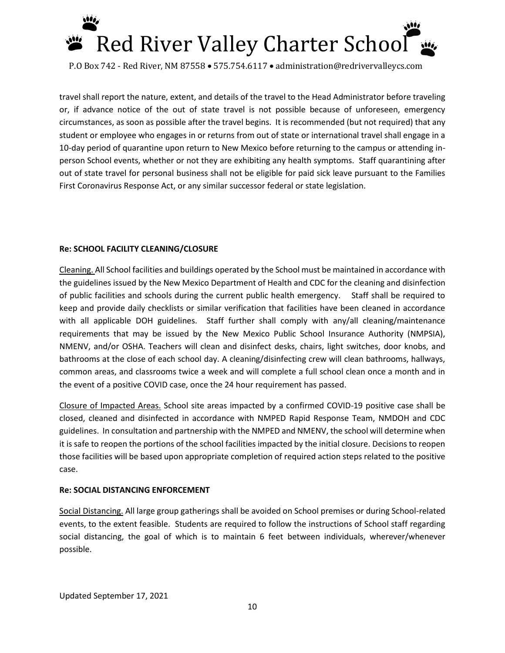

travel shall report the nature, extent, and details of the travel to the Head Administrator before traveling or, if advance notice of the out of state travel is not possible because of unforeseen, emergency circumstances, as soon as possible after the travel begins. It is recommended (but not required) that any student or employee who engages in or returns from out of state or international travel shall engage in a 10-day period of quarantine upon return to New Mexico before returning to the campus or attending inperson School events, whether or not they are exhibiting any health symptoms. Staff quarantining after out of state travel for personal business shall not be eligible for paid sick leave pursuant to the Families First Coronavirus Response Act, or any similar successor federal or state legislation.

### **Re: SCHOOL FACILITY CLEANING/CLOSURE**

Cleaning. All School facilities and buildings operated by the School must be maintained in accordance with the guidelines issued by the New Mexico Department of Health and CDC for the cleaning and disinfection of public facilities and schools during the current public health emergency. Staff shall be required to keep and provide daily checklists or similar verification that facilities have been cleaned in accordance with all applicable DOH guidelines. Staff further shall comply with any/all cleaning/maintenance requirements that may be issued by the New Mexico Public School Insurance Authority (NMPSIA), NMENV, and/or OSHA. Teachers will clean and disinfect desks, chairs, light switches, door knobs, and bathrooms at the close of each school day. A cleaning/disinfecting crew will clean bathrooms, hallways, common areas, and classrooms twice a week and will complete a full school clean once a month and in the event of a positive COVID case, once the 24 hour requirement has passed.

Closure of Impacted Areas. School site areas impacted by a confirmed COVID-19 positive case shall be closed, cleaned and disinfected in accordance with NMPED Rapid Response Team, NMDOH and CDC guidelines. In consultation and partnership with the NMPED and NMENV, the school will determine when it is safe to reopen the portions of the school facilities impacted by the initial closure. Decisions to reopen those facilities will be based upon appropriate completion of required action steps related to the positive case.

#### **Re: SOCIAL DISTANCING ENFORCEMENT**

Social Distancing. All large group gatherings shall be avoided on School premises or during School-related events, to the extent feasible. Students are required to follow the instructions of School staff regarding social distancing, the goal of which is to maintain 6 feet between individuals, wherever/whenever possible.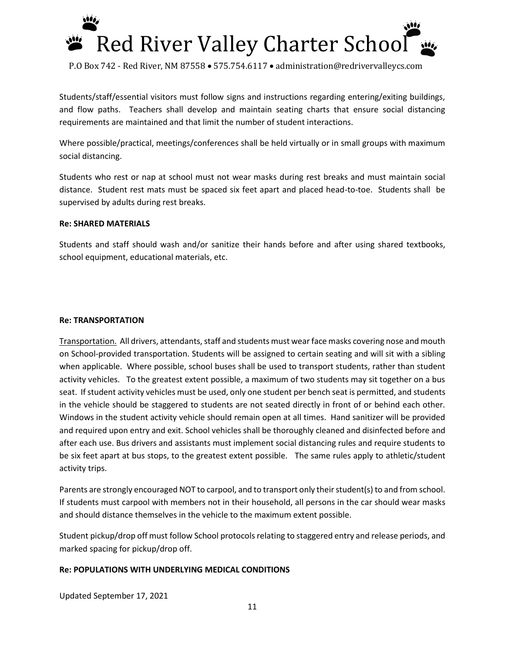

Students/staff/essential visitors must follow signs and instructions regarding entering/exiting buildings, and flow paths. Teachers shall develop and maintain seating charts that ensure social distancing requirements are maintained and that limit the number of student interactions.

Where possible/practical, meetings/conferences shall be held virtually or in small groups with maximum social distancing.

Students who rest or nap at school must not wear masks during rest breaks and must maintain social distance. Student rest mats must be spaced six feet apart and placed head-to-toe. Students shall be supervised by adults during rest breaks.

#### **Re: SHARED MATERIALS**

Students and staff should wash and/or sanitize their hands before and after using shared textbooks, school equipment, educational materials, etc.

### **Re: TRANSPORTATION**

Transportation. All drivers, attendants, staff and students must wear face masks covering nose and mouth on School-provided transportation. Students will be assigned to certain seating and will sit with a sibling when applicable. Where possible, school buses shall be used to transport students, rather than student activity vehicles. To the greatest extent possible, a maximum of two students may sit together on a bus seat. If student activity vehicles must be used, only one student per bench seat is permitted, and students in the vehicle should be staggered to students are not seated directly in front of or behind each other. Windows in the student activity vehicle should remain open at all times. Hand sanitizer will be provided and required upon entry and exit. School vehicles shall be thoroughly cleaned and disinfected before and after each use. Bus drivers and assistants must implement social distancing rules and require students to be six feet apart at bus stops, to the greatest extent possible. The same rules apply to athletic/student activity trips.

Parents are strongly encouraged NOT to carpool, and to transport only their student(s) to and from school. If students must carpool with members not in their household, all persons in the car should wear masks and should distance themselves in the vehicle to the maximum extent possible.

Student pickup/drop off must follow School protocols relating to staggered entry and release periods, and marked spacing for pickup/drop off.

## **Re: POPULATIONS WITH UNDERLYING MEDICAL CONDITIONS**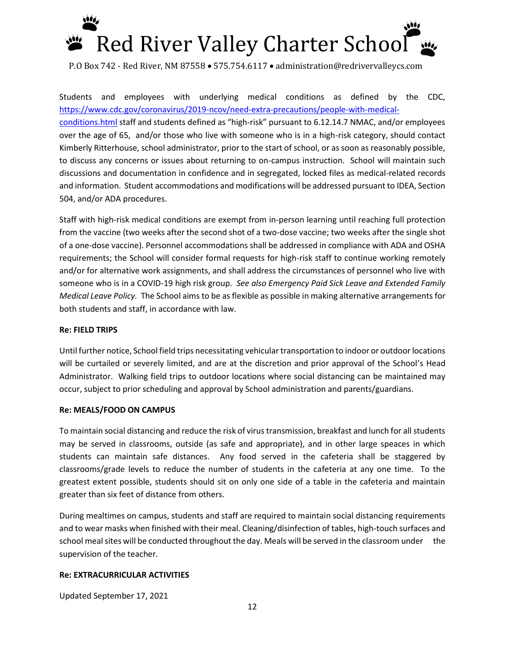

Students and employees with underlying medical conditions as defined by the CDC, [https://www.cdc.gov/coronavirus/2019-ncov/need-extra-precautions/people-with-medical](https://www.cdc.gov/coronavirus/2019-ncov/need-extra-precautions/people-with-medical-conditions.html)[conditions.html](https://www.cdc.gov/coronavirus/2019-ncov/need-extra-precautions/people-with-medical-conditions.html) staff and students defined as "high-risk" pursuant to 6.12.14.7 NMAC, and/or employees over the age of 65, and/or those who live with someone who is in a high-risk category, should contact Kimberly Ritterhouse, school administrator, prior to the start of school, or as soon as reasonably possible, to discuss any concerns or issues about returning to on-campus instruction. School will maintain such discussions and documentation in confidence and in segregated, locked files as medical-related records and information. Student accommodations and modifications will be addressed pursuant to IDEA, Section 504, and/or ADA procedures.

Staff with high-risk medical conditions are exempt from in-person learning until reaching full protection from the vaccine (two weeks after the second shot of a two-dose vaccine; two weeks after the single shot of a one-dose vaccine). Personnel accommodations shall be addressed in compliance with ADA and OSHA requirements; the School will consider formal requests for high-risk staff to continue working remotely and/or for alternative work assignments, and shall address the circumstances of personnel who live with someone who is in a COVID-19 high risk group. *See also Emergency Paid Sick Leave and Extended Family Medical Leave Policy.* The School aims to be as flexible as possible in making alternative arrangements for both students and staff, in accordance with law.

#### **Re: FIELD TRIPS**

Until further notice, School field trips necessitating vehicular transportation to indoor or outdoor locations will be curtailed or severely limited, and are at the discretion and prior approval of the School's Head Administrator. Walking field trips to outdoor locations where social distancing can be maintained may occur, subject to prior scheduling and approval by School administration and parents/guardians.

#### **Re: MEALS/FOOD ON CAMPUS**

To maintain social distancing and reduce the risk of virus transmission, breakfast and lunch for all students may be served in classrooms, outside (as safe and appropriate), and in other large speaces in which students can maintain safe distances. Any food served in the cafeteria shall be staggered by classrooms/grade levels to reduce the number of students in the cafeteria at any one time. To the greatest extent possible, students should sit on only one side of a table in the cafeteria and maintain greater than six feet of distance from others.

During mealtimes on campus, students and staff are required to maintain social distancing requirements and to wear masks when finished with their meal. Cleaning/disinfection of tables, high-touch surfaces and school meal sites will be conducted throughout the day. Meals will be served in the classroom under the supervision of the teacher.

#### **Re: EXTRACURRICULAR ACTIVITIES**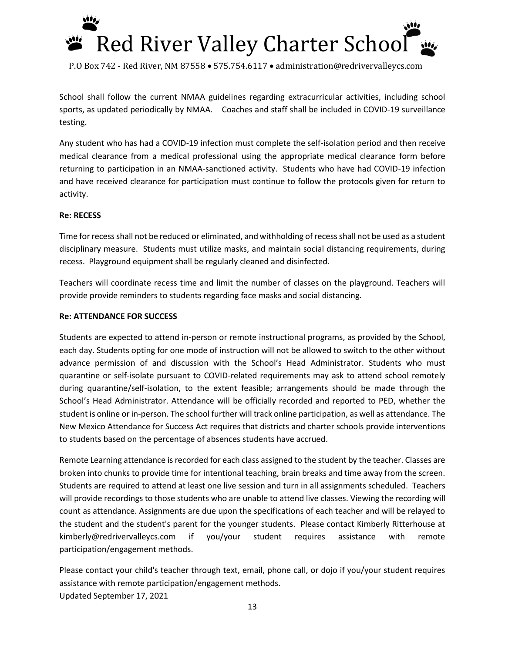

School shall follow the current NMAA guidelines regarding extracurricular activities, including school sports, as updated periodically by NMAA. Coaches and staff shall be included in COVID-19 surveillance testing.

Any student who has had a COVID-19 infection must complete the self-isolation period and then receive medical clearance from a medical professional using the appropriate medical clearance form before returning to participation in an NMAA-sanctioned activity. Students who have had COVID-19 infection and have received clearance for participation must continue to follow the protocols given for return to activity.

### **Re: RECESS**

Time for recess shall not be reduced or eliminated, and withholding of recess shall not be used as a student disciplinary measure. Students must utilize masks, and maintain social distancing requirements, during recess. Playground equipment shall be regularly cleaned and disinfected.

Teachers will coordinate recess time and limit the number of classes on the playground. Teachers will provide provide reminders to students regarding face masks and social distancing.

#### **Re: ATTENDANCE FOR SUCCESS**

Students are expected to attend in-person or remote instructional programs, as provided by the School, each day. Students opting for one mode of instruction will not be allowed to switch to the other without advance permission of and discussion with the School's Head Administrator. Students who must quarantine or self-isolate pursuant to COVID-related requirements may ask to attend school remotely during quarantine/self-isolation, to the extent feasible; arrangements should be made through the School's Head Administrator. Attendance will be officially recorded and reported to PED, whether the student is online or in-person. The school further will track online participation, as well as attendance. The New Mexico Attendance for Success Act requires that districts and charter schools provide interventions to students based on the percentage of absences students have accrued.

Remote Learning attendance is recorded for each class assigned to the student by the teacher. Classes are broken into chunks to provide time for intentional teaching, brain breaks and time away from the screen. Students are required to attend at least one live session and turn in all assignments scheduled. Teachers will provide recordings to those students who are unable to attend live classes. Viewing the recording will count as attendance. Assignments are due upon the specifications of each teacher and will be relayed to the student and the student's parent for the younger students. Please contact Kimberly Ritterhouse at kimberly@redrivervalleycs.com if you/your student requires assistance with remote participation/engagement methods.

Updated September 17, 2021 Please contact your child's teacher through text, email, phone call, or dojo if you/your student requires assistance with remote participation/engagement methods.